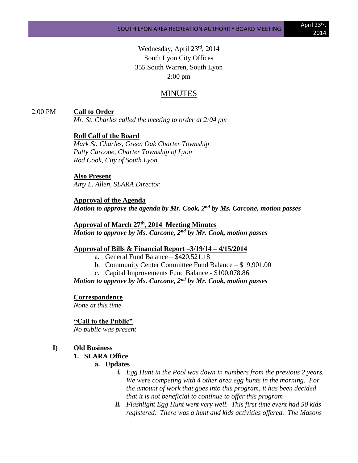Wednesday, April 23rd, 2014 South Lyon City Offices 355 South Warren, South Lyon 2:00 pm

## MINUTES

### 2:00 PM **Call to Order**

*Mr. St. Charles called the meeting to order at 2:04 pm*

#### **Roll Call of the Board**

*Mark St. Charles, Green Oak Charter Township Patty Carcone, Charter Township of Lyon Rod Cook, City of South Lyon*

# **Also Present**

*Amy L. Allen, SLARA Director*

### **Approval of the Agenda** *Motion to approve the agenda by Mr. Cook, 2nd by Ms. Carcone, motion passes*

### **Approval of March 27th, 2014 Meeting Minutes** *Motion to approve by Ms. Carcone, 2nd by Mr. Cook, motion passes*

#### **Approval of Bills & Financial Report –3/19/14 – 4/15/2014**

- a. General Fund Balance \$420,521.18
- b. Community Center Committee Fund Balance \$19,901.00
- c. Capital Improvements Fund Balance \$100,078.86

*Motion to approve by Ms. Carcone, 2nd by Mr. Cook, motion passes*

### **Correspondence**

*None at this time*

#### **"Call to the Public"**

*No public was present*

### **I) Old Business**

#### **1. SLARA Office**

- **a. Updates**
	- *i. Egg Hunt in the Pool was down in numbers from the previous 2 years. We were competing with 4 other area egg hunts in the morning. For the amount of work that goes into this program, it has been decided that it is not beneficial to continue to offer this program*
	- *ii. Flashlight Egg Hunt went very well. This first time event had 50 kids registered. There was a hunt and kids activities offered. The Masons*